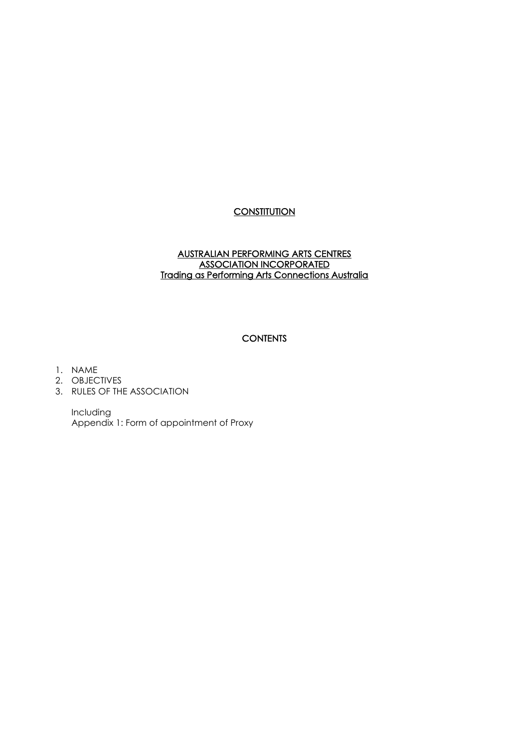# **CONSTITUTION**

### AUSTRALIAN PERFORMING ARTS CENTRES ASSOCIATION INCORPORATED Trading as Performing Arts Connections Australia

### **CONTENTS**

- 1. NAME
- 2. OBJECTIVES
- 3. RULES OF THE ASSOCIATION

Including Appendix 1: Form of appointment of Proxy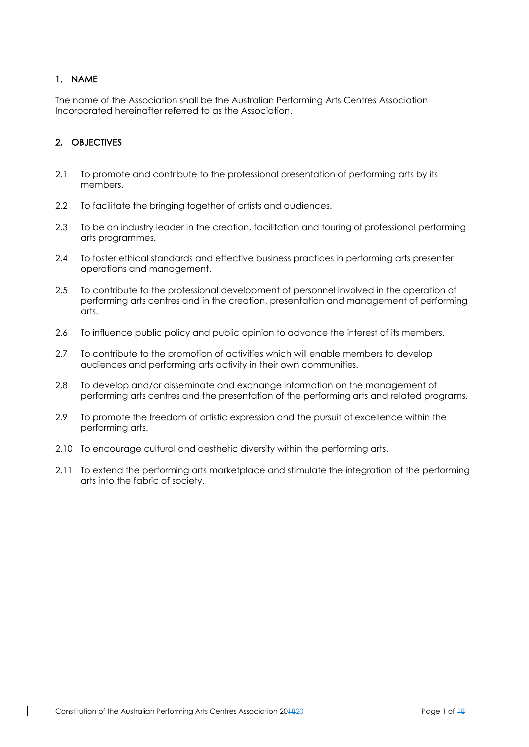# 1. NAME

The name of the Association shall be the Australian Performing Arts Centres Association Incorporated hereinafter referred to as the Association.

# 2. OBJECTIVES

- 2.1 To promote and contribute to the professional presentation of performing arts by its members.
- 2.2 To facilitate the bringing together of artists and audiences.
- 2.3 To be an industry leader in the creation, facilitation and touring of professional performing arts programmes.
- 2.4 To foster ethical standards and effective business practices in performing arts presenter operations and management.
- 2.5 To contribute to the professional development of personnel involved in the operation of performing arts centres and in the creation, presentation and management of performing arts.
- 2.6 To influence public policy and public opinion to advance the interest of its members.
- 2.7 To contribute to the promotion of activities which will enable members to develop audiences and performing arts activity in their own communities.
- 2.8 To develop and/or disseminate and exchange information on the management of performing arts centres and the presentation of the performing arts and related programs.
- 2.9 To promote the freedom of artistic expression and the pursuit of excellence within the performing arts.
- 2.10 To encourage cultural and aesthetic diversity within the performing arts.
- 2.11 To extend the performing arts marketplace and stimulate the integration of the performing arts into the fabric of society.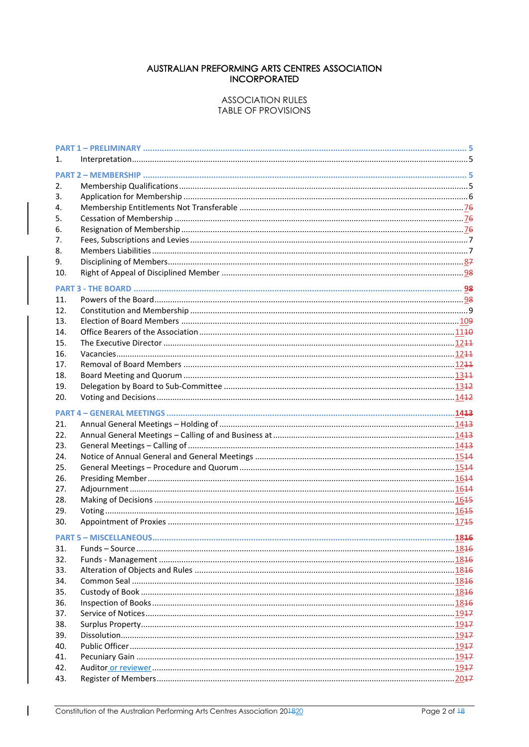### AUSTRALIAN PREFORMING ARTS CENTRES ASSOCIATION **INCORPORATED**

#### **ASSOCIATION RULES TABLE OF PROVISIONS**

| 1.         |                               |      |
|------------|-------------------------------|------|
|            |                               |      |
| 2.         |                               |      |
| 3.         |                               |      |
| 4.         |                               |      |
| 5.         |                               |      |
| 6.         |                               |      |
| 7.         |                               |      |
| 8.         |                               |      |
| 9.         |                               |      |
| 10.        |                               |      |
|            |                               |      |
| 11.        |                               |      |
| 12.        |                               |      |
| 13.        |                               |      |
| 14.        |                               |      |
| 15.        |                               |      |
| 16.        |                               |      |
| 17.        |                               |      |
| 18.        |                               |      |
| 19.        |                               |      |
| 20.        |                               |      |
|            |                               |      |
|            |                               |      |
| 21.        |                               |      |
| 22.<br>23. |                               |      |
| 24.        |                               |      |
| 25.        |                               |      |
| 26.        |                               |      |
| 27.        |                               |      |
| 28.        |                               |      |
| 29.        |                               |      |
| 30.        |                               |      |
|            |                               |      |
|            | <b>PART 5 - MISCELLANEOUS</b> | 1846 |
| 31.        |                               |      |
| 32.        |                               |      |
| 33.        |                               |      |
| 34.        |                               |      |
| 35.        |                               |      |
| 36.        |                               |      |
| 37.        |                               |      |
| 38.        |                               |      |
| 39.        |                               |      |
| 40.        |                               |      |
| 41.<br>42. |                               |      |
| 43.        |                               |      |
|            |                               |      |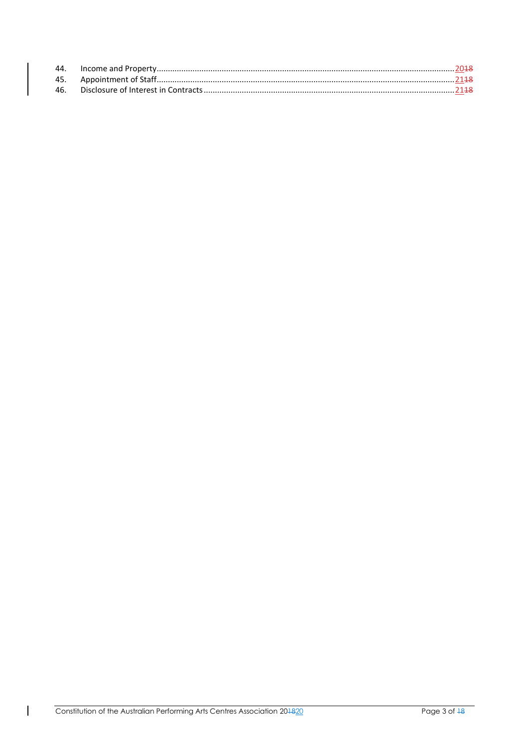| 46. |  |
|-----|--|
|     |  |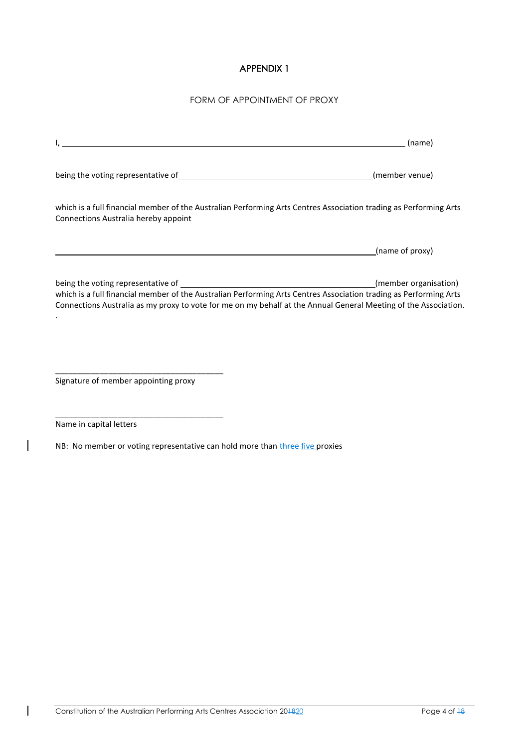# APPENDIX 1

### FORM OF APPOINTMENT OF PROXY

|                                                                                                                                                                                                                                      | (name)                |
|--------------------------------------------------------------------------------------------------------------------------------------------------------------------------------------------------------------------------------------|-----------------------|
|                                                                                                                                                                                                                                      | (member venue)        |
| which is a full financial member of the Australian Performing Arts Centres Association trading as Performing Arts<br>Connections Australia hereby appoint                                                                            |                       |
|                                                                                                                                                                                                                                      | (name of proxy)       |
| which is a full financial member of the Australian Performing Arts Centres Association trading as Performing Arts<br>Connections Australia as my proxy to vote for me on my behalf at the Annual General Meeting of the Association. | (member organisation) |
| Signature of member appointing proxy                                                                                                                                                                                                 |                       |

Name in capital letters

 $\overline{\phantom{a}}$ 

 $\overline{\phantom{a}}$ 

\_\_\_\_\_\_\_\_\_\_\_\_\_\_\_\_\_\_\_\_\_\_\_\_\_\_\_\_\_\_\_\_\_\_\_\_\_\_

NB: No member or voting representative can hold more than three five proxies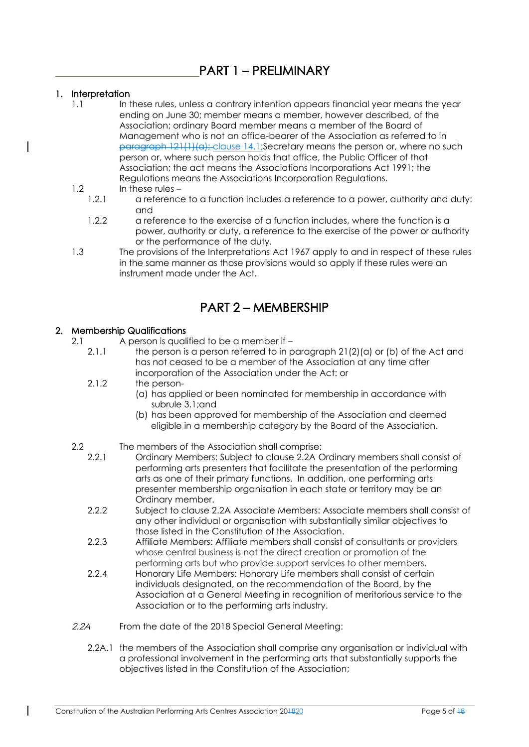# PART 1 – PRELIMINARY

## 1. Interpretation

1.1 In these rules, unless a contrary intention appears financial year means the year ending on June 30; member means a member, however described, of the Association; ordinary Board member means a member of the Board of Management who is not an office-bearer of the Association as referred to in paragraph 121(1)(a); clause 14.1;Secretary means the person or, where no such person or, where such person holds that office, the Public Officer of that Association; the act means the Associations Incorporations Act 1991; the Regulations means the Associations Incorporation Regulations.

### 1.2 In these rules –

- 1.2.1 a reference to a function includes a reference to a power, authority and duty: and
- 1.2.2 a reference to the exercise of a function includes, where the function is a power, authority or duty, a reference to the exercise of the power or authority or the performance of the duty.
- 1.3 The provisions of the Interpretations Act 1967 apply to and in respect of these rules in the same manner as those provisions would so apply if these rules were an instrument made under the Act.

# PART 2 – MEMBERSHIP

### 2. Membership Qualifications

- 2.1 A person is qualified to be a member if
	- 2.1.1 the person is a person referred to in paragraph 21(2)(a) or (b) of the Act and has not ceased to be a member of the Association at any time after incorporation of the Association under the Act: or
	- 2.1.2 the person-
		- (a) has applied or been nominated for membership in accordance with subrule 3.1;and
		- (b) has been approved for membership of the Association and deemed eligible in a membership category by the Board of the Association.
- 2.2 The members of the Association shall comprise:<br>2.2.1 Ordinary Members: Subject to clause 2.2A C
	- 2.2.1 Ordinary Members: Subject to clause 2.2A Ordinary members shall consist of performing arts presenters that facilitate the presentation of the performing arts as one of their primary functions. In addition, one performing arts presenter membership organisation in each state or territory may be an Ordinary member.
	- 2.2.2 Subject to clause 2.2A Associate Members: Associate members shall consist of any other individual or organisation with substantially similar objectives to those listed in the Constitution of the Association.
	- 2.2.3 Affiliate Members: Affiliate members shall consist of consultants or providers whose central business is not the direct creation or promotion of the performing arts but who provide support services to other members.
	- 2.2.4 Honorary Life Members: Honorary Life members shall consist of certain individuals designated, on the recommendation of the Board, by the Association at a General Meeting in recognition of meritorious service to the Association or to the performing arts industry.
- 2.2A From the date of the 2018 Special General Meeting:
	- 2.2A.1 the members of the Association shall comprise any organisation or individual with a professional involvement in the performing arts that substantially supports the objectives listed in the Constitution of the Association;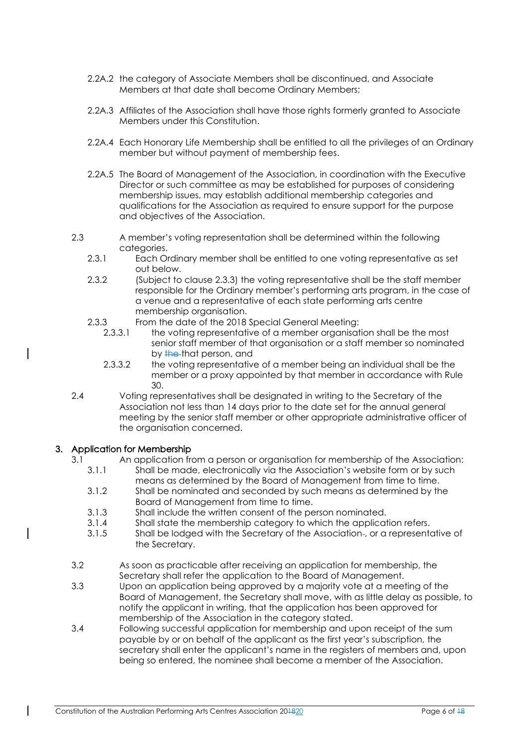- 2.2A.2 the category of Associate Members shall be discontinued, and Associate Members at that date shall become Ordinary Members;
- 2.2A.3 Affiliates of the Association shall have those rights formerly granted to Associate Members under this Constitution.
- 2.2A.4 Each Honorary Life Membership shall be entitled to all the privileges of an Ordinary member but without payment of membership fees.
- 2.2A.5 The Board of Management of the Association, in coordination with the Executive Director or such committee as may be established for purposes of considering membership issues, may establish additional membership categories and qualifications for the Association as required to ensure support for the purpose and objectives of the Association.
- 2.3 A member's voting representation shall be determined within the following categories.
	- 2.3.1 Each Ordinary member shall be entitled to one voting representative as set out below.
	- 2.3.2 (Subject to clause 2.3.3) the voting representative shall be the staff member responsible for the Ordinary member's performing arts program, in the case of a venue and a representative of each state performing arts centre membership organisation.
	- 2.3.3 From the date of the 2018 Special General Meeting:
		- 2.3.3.1 the voting representative of a member organisation shall be the most senior staff member of that organisation or a staff member so nominated by the that person, and
		- 2.3.3.2 the voting representative of a member being an individual shall be the member or a proxy appointed by that member in accordance with Rule 30.
- 2.4 Voting representatives shall be designated in writing to the Secretary of the Association not less than 14 days prior to the date set for the annual general meeting by the senior staff member or other appropriate administrative officer of the organisation concerned.

## 3. Application for Membership

- 3.1 An application from a person or organisation for membership of the Association:
	- 3.1.1 Shall be made, electronically via the Association's website form or by such means as determined by the Board of Management from time to time.
	- 3.1.2 Shall be nominated and seconded by such means as determined by the Board of Management from time to time.
	- 3.1.3 Shall include the written consent of the person nominated.
	- 3.1.4 Shall state the membership category to which the application refers.
	- 3.1.5 Shall be lodged with the Secretary of the Association , or a representative of the Secretary.
- 3.2 As soon as practicable after receiving an application for membership, the Secretary shall refer the application to the Board of Management.
- 3.3 Upon an application being approved by a majority vote at a meeting of the Board of Management, the Secretary shall move, with as little delay as possible, to notify the applicant in writing, that the application has been approved for membership of the Association in the category stated.
- 3.4 Following successful application for membership and upon receipt of the sum payable by or on behalf of the applicant as the first year's subscription, the secretary shall enter the applicant's name in the registers of members and, upon being so entered, the nominee shall become a member of the Association.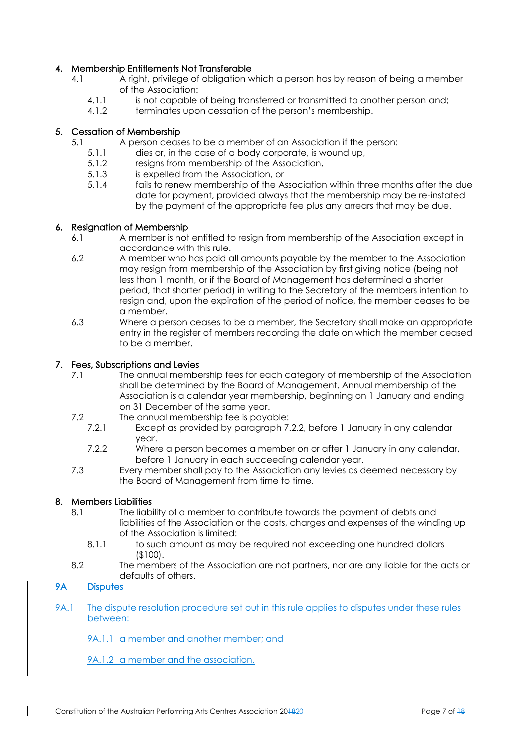# 4. Membership Entitlements Not Transferable

- 4.1 A right, privilege of obligation which a person has by reason of being a member of the Association:
	- 4.1.1 is not capable of being transferred or transmitted to another person and;
	- 4.1.2 terminates upon cessation of the person's membership.

# 5. Cessation of Membership

- 5.1 A person ceases to be a member of an Association if the person:
	- 5.1.1 dies or, in the case of a body corporate, is wound up,
	- 5.1.2 resigns from membership of the Association,
	- 5.1.3 is expelled from the Association, or
	- 5.1.4 fails to renew membership of the Association within three months after the due date for payment, provided always that the membership may be re-instated by the payment of the appropriate fee plus any arrears that may be due.

### 6. Resignation of Membership

- 6.1 A member is not entitled to resign from membership of the Association except in accordance with this rule.
- 6.2 A member who has paid all amounts payable by the member to the Association may resign from membership of the Association by first giving notice (being not less than 1 month, or if the Board of Management has determined a shorter period, that shorter period) in writing to the Secretary of the members intention to resign and, upon the expiration of the period of notice, the member ceases to be a member.
- 6.3 Where a person ceases to be a member, the Secretary shall make an appropriate entry in the register of members recording the date on which the member ceased to be a member.

### 7. Fees, Subscriptions and Levies

- 7.1 The annual membership fees for each category of membership of the Association shall be determined by the Board of Management. Annual membership of the Association is a calendar year membership, beginning on 1 January and ending on 31 December of the same year.
- 7.2 The annual membership fee is payable:
	- 7.2.1 Except as provided by paragraph 7.2.2, before 1 January in any calendar year.
	- 7.2.2 Where a person becomes a member on or after 1 January in any calendar, before 1 January in each succeeding calendar year.
- 7.3 Every member shall pay to the Association any levies as deemed necessary by the Board of Management from time to time.

### 8. Members Liabilities

- 8.1 The liability of a member to contribute towards the payment of debts and liabilities of the Association or the costs, charges and expenses of the winding up of the Association is limited:
	- 8.1.1 to such amount as may be required not exceeding one hundred dollars (\$100).
- 8.2 The members of the Association are not partners, nor are any liable for the acts or defaults of others.

## 9A Disputes

9A.1 The dispute resolution procedure set out in this rule applies to disputes under these rules between:

9A.1.1 a member and another member; and

9A.1.2 a member and the association.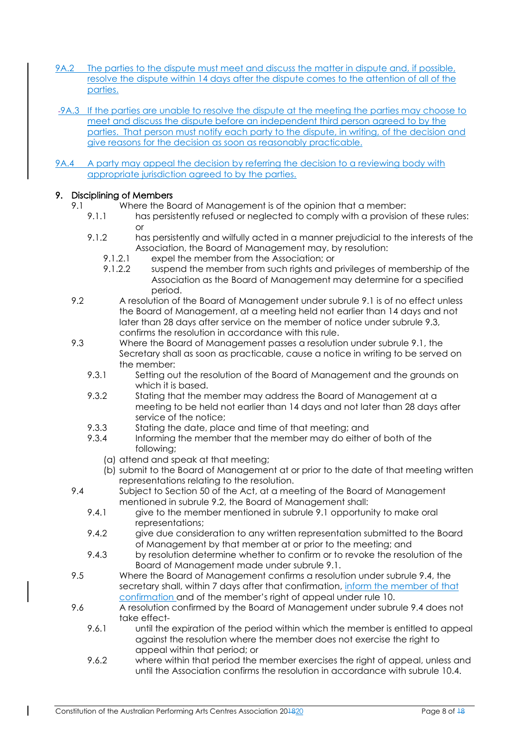- 9A.2 The parties to the dispute must meet and discuss the matter in dispute and, if possible, resolve the dispute within 14 days after the dispute comes to the attention of all of the parties.
- 9A.3 If the parties are unable to resolve the dispute at the meeting the parties may choose to meet and discuss the dispute before an independent third person agreed to by the parties. That person must notify each party to the dispute, in writing, of the decision and give reasons for the decision as soon as reasonably practicable.
- 9A.4 A party may appeal the decision by referring the decision to a reviewing body with appropriate jurisdiction agreed to by the parties.

# 9. Disciplining of Members

- 9.1 Where the Board of Management is of the opinion that a member:
	- 9.1.1 has persistently refused or neglected to comply with a provision of these rules: or
	- 9.1.2 has persistently and wilfully acted in a manner prejudicial to the interests of the Association, the Board of Management may, by resolution:
		- 9.1.2.1 expel the member from the Association; or
		- 9.1.2.2 suspend the member from such rights and privileges of membership of the Association as the Board of Management may determine for a specified period.
- 9.2 A resolution of the Board of Management under subrule 9.1 is of no effect unless the Board of Management, at a meeting held not earlier than 14 days and not later than 28 days after service on the member of notice under subrule 9.3, confirms the resolution in accordance with this rule.
- 9.3 Where the Board of Management passes a resolution under subrule 9.1, the Secretary shall as soon as practicable, cause a notice in writing to be served on the member:
	- 9.3.1 Setting out the resolution of the Board of Management and the grounds on which it is based.
	- 9.3.2 Stating that the member may address the Board of Management at a meeting to be held not earlier than 14 days and not later than 28 days after service of the notice;
	- 9.3.3 Stating the date, place and time of that meeting; and
	- 9.3.4 Informing the member that the member may do either of both of the following;
		- (a) attend and speak at that meeting;
		- (b) submit to the Board of Management at or prior to the date of that meeting written representations relating to the resolution.
- 9.4 Subject to Section 50 of the Act, at a meeting of the Board of Management mentioned in subrule 9.2, the Board of Management shall:
	- 9.4.1 give to the member mentioned in subrule 9.1 opportunity to make oral representations;
	- 9.4.2 give due consideration to any written representation submitted to the Board of Management by that member at or prior to the meeting; and
	- 9.4.3 by resolution determine whether to confirm or to revoke the resolution of the Board of Management made under subrule 9.1.
- 9.5 Where the Board of Management confirms a resolution under subrule 9.4, the secretary shall, within 7 days after that confirmation, inform the member of that confirmation and of the member's right of appeal under rule 10.
- 9.6 A resolution confirmed by the Board of Management under subrule 9.4 does not take effect-
	- 9.6.1 until the expiration of the period within which the member is entitled to appeal against the resolution where the member does not exercise the right to appeal within that period; or
	- 9.6.2 where within that period the member exercises the right of appeal, unless and until the Association confirms the resolution in accordance with subrule 10.4.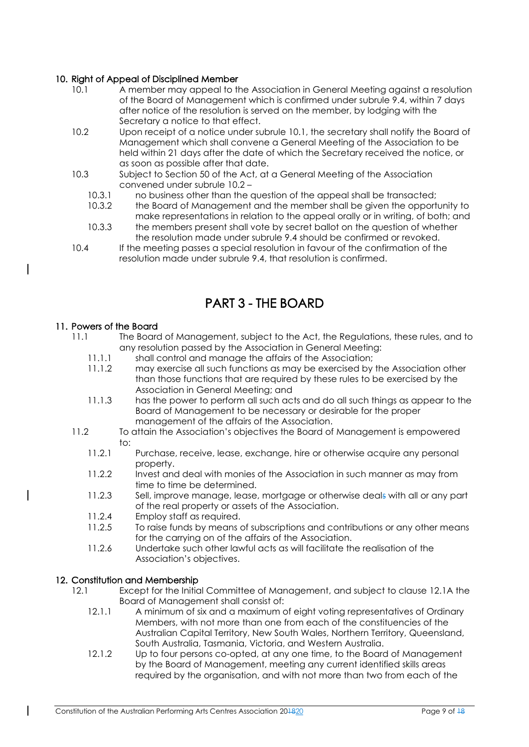# 10. Right of Appeal of Disciplined Member

- 10.1 A member may appeal to the Association in General Meeting against a resolution of the Board of Management which is confirmed under subrule 9.4, within 7 days after notice of the resolution is served on the member, by lodging with the Secretary a notice to that effect.
- 10.2 Upon receipt of a notice under subrule 10.1, the secretary shall notify the Board of Management which shall convene a General Meeting of the Association to be held within 21 days after the date of which the Secretary received the notice, or as soon as possible after that date.
- 10.3 Subject to Section 50 of the Act, at a General Meeting of the Association convened under subrule 10.2 –
	- 10.3.1 no business other than the question of the appeal shall be transacted;
	- 10.3.2 the Board of Management and the member shall be given the opportunity to make representations in relation to the appeal orally or in writing, of both; and
	- 10.3.3 the members present shall vote by secret ballot on the question of whether the resolution made under subrule 9.4 should be confirmed or revoked.
- 10.4 If the meeting passes a special resolution in favour of the confirmation of the resolution made under subrule 9.4, that resolution is confirmed.

# PART 3 - THE BOARD

### 11. Powers of the Board

- 11.1 The Board of Management, subject to the Act, the Regulations, these rules, and to any resolution passed by the Association in General Meeting:
	- 11.1.1 shall control and manage the affairs of the Association;
	- 11.1.2 may exercise all such functions as may be exercised by the Association other than those functions that are required by these rules to be exercised by the Association in General Meeting; and
	- 11.1.3 has the power to perform all such acts and do all such things as appear to the Board of Management to be necessary or desirable for the proper management of the affairs of the Association.
- 11.2 To attain the Association's objectives the Board of Management is empowered to:
	- 11.2.1 Purchase, receive, lease, exchange, hire or otherwise acquire any personal property.
	- 11.2.2 Invest and deal with monies of the Association in such manner as may from time to time be determined.
	- 11.2.3 Sell, improve manage, lease, mortgage or otherwise deals with all or any part of the real property or assets of the Association.
	- 11.2.4 Employ staff as required.
	- 11.2.5 To raise funds by means of subscriptions and contributions or any other means for the carrying on of the affairs of the Association.
	- 11.2.6 Undertake such other lawful acts as will facilitate the realisation of the Association's objectives.

## 12. Constitution and Membership

- 12.1 Except for the Initial Committee of Management, and subject to clause 12.1A the Board of Management shall consist of:
	- 12.1.1 A minimum of six and a maximum of eight voting representatives of Ordinary Members, with not more than one from each of the constituencies of the Australian Capital Territory, New South Wales, Northern Territory, Queensland, South Australia, Tasmania, Victoria, and Western Australia.
	- 12.1.2 Up to four persons co-opted, at any one time, to the Board of Management by the Board of Management, meeting any current identified skills areas required by the organisation, and with not more than two from each of the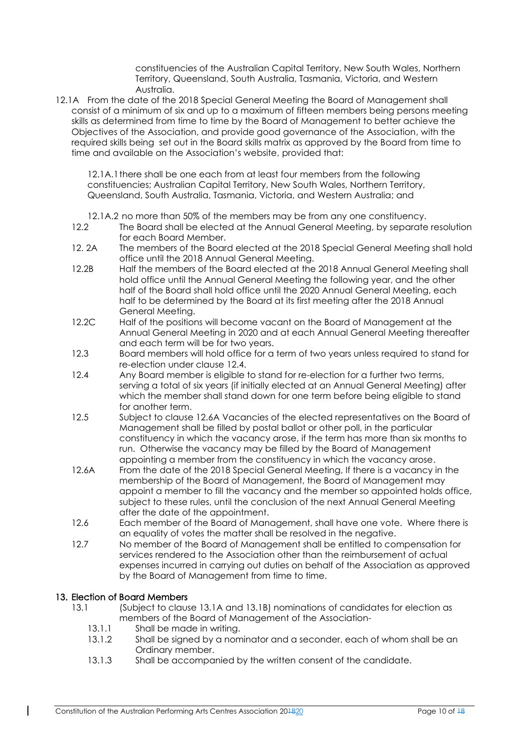constituencies of the Australian Capital Territory, New South Wales, Northern Territory, Queensland, South Australia, Tasmania, Victoria, and Western Australia.

12.1A From the date of the 2018 Special General Meeting the Board of Management shall consist of a minimum of six and up to a maximum of fifteen members being persons meeting skills as determined from time to time by the Board of Management to better achieve the Objectives of the Association, and provide good governance of the Association, with the required skills being set out in the Board skills matrix as approved by the Board from time to time and available on the Association's website, provided that:

12.1A.1there shall be one each from at least four members from the following constituencies; Australian Capital Territory, New South Wales, Northern Territory, Queensland, South Australia, Tasmania, Victoria, and Western Australia; and

- 12.1A.2 no more than 50% of the members may be from any one constituency.
- 12.2 The Board shall be elected at the Annual General Meeting, by separate resolution for each Board Member.
- 12. 2A The members of the Board elected at the 2018 Special General Meeting shall hold office until the 2018 Annual General Meeting.
- 12.2B Half the members of the Board elected at the 2018 Annual General Meeting shall hold office until the Annual General Meeting the following year, and the other half of the Board shall hold office until the 2020 Annual General Meeting, each half to be determined by the Board at its first meeting after the 2018 Annual General Meeting.
- 12.2C Half of the positions will become vacant on the Board of Management at the Annual General Meeting in 2020 and at each Annual General Meeting thereafter and each term will be for two years.
- 12.3 Board members will hold office for a term of two years unless required to stand for re-election under clause 12.4.
- 12.4 Any Board member is eligible to stand for re-election for a further two terms, serving a total of six years (if initially elected at an Annual General Meeting) after which the member shall stand down for one term before being eligible to stand for another term.
- 12.5 Subject to clause 12.6A Vacancies of the elected representatives on the Board of Management shall be filled by postal ballot or other poll, in the particular constituency in which the vacancy arose, if the term has more than six months to run. Otherwise the vacancy may be filled by the Board of Management appointing a member from the constituency in which the vacancy arose.
- 12.6A From the date of the 2018 Special General Meeting, If there is a vacancy in the membership of the Board of Management, the Board of Management may appoint a member to fill the vacancy and the member so appointed holds office, subject to these rules, until the conclusion of the next Annual General Meeting after the date of the appointment.
- 12.6 Each member of the Board of Management, shall have one vote. Where there is an equality of votes the matter shall be resolved in the negative.
- 12.7 No member of the Board of Management shall be entitled to compensation for services rendered to the Association other than the reimbursement of actual expenses incurred in carrying out duties on behalf of the Association as approved by the Board of Management from time to time.

## 13. Election of Board Members

 $\mathbf{I}$ 

- 13.1 (Subject to clause 13.1A and 13.1B) nominations of candidates for election as members of the Board of Management of the Association-
	- 13.1.1 Shall be made in writing.
	- 13.1.2 Shall be signed by a nominator and a seconder, each of whom shall be an Ordinary member.
	- 13.1.3 Shall be accompanied by the written consent of the candidate.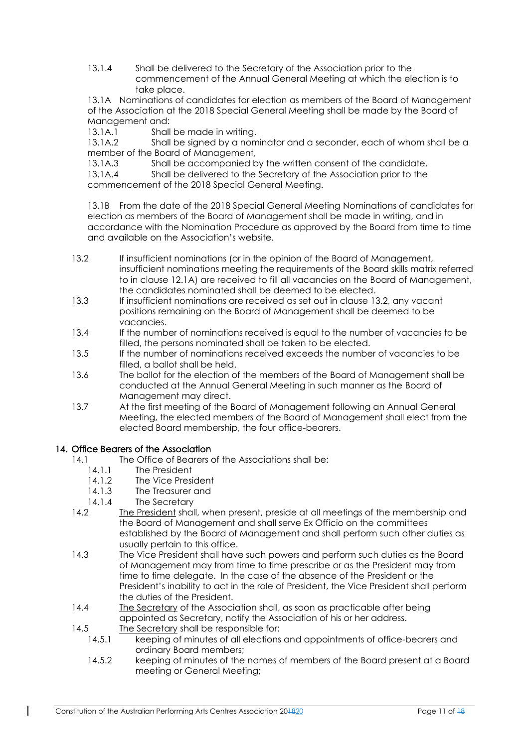13.1.4 Shall be delivered to the Secretary of the Association prior to the commencement of the Annual General Meeting at which the election is to take place.

13.1A Nominations of candidates for election as members of the Board of Management of the Association at the 2018 Special General Meeting shall be made by the Board of Management and:

13.1A.1 Shall be made in writing.

13.1A.2 Shall be signed by a nominator and a seconder, each of whom shall be a member of the Board of Management,

13.1A.3 Shall be accompanied by the written consent of the candidate.

13.1A.4 Shall be delivered to the Secretary of the Association prior to the commencement of the 2018 Special General Meeting.

13.1B From the date of the 2018 Special General Meeting Nominations of candidates for election as members of the Board of Management shall be made in writing, and in accordance with the Nomination Procedure as approved by the Board from time to time and available on the Association's website.

- 13.2 If insufficient nominations (or in the opinion of the Board of Management, insufficient nominations meeting the requirements of the Board skills matrix referred to in clause 12.1A) are received to fill all vacancies on the Board of Management, the candidates nominated shall be deemed to be elected.
- 13.3 If insufficient nominations are received as set out in clause 13.2, any vacant positions remaining on the Board of Management shall be deemed to be vacancies.
- 13.4 If the number of nominations received is equal to the number of vacancies to be filled, the persons nominated shall be taken to be elected.
- 13.5 If the number of nominations received exceeds the number of vacancies to be filled, a ballot shall be held.
- 13.6 The ballot for the election of the members of the Board of Management shall be conducted at the Annual General Meeting in such manner as the Board of Management may direct.
- 13.7 At the first meeting of the Board of Management following an Annual General Meeting, the elected members of the Board of Management shall elect from the elected Board membership, the four office-bearers.

# 14. Office Bearers of the Association

- 14.1 The Office of Bearers of the Associations shall be:
	- 14.1.1 The President
	- 14.1.2 The Vice President
	- 14.1.3 The Treasurer and
	- 14.1.4 The Secretary
- 14.2 The President shall, when present, preside at all meetings of the membership and the Board of Management and shall serve Ex Officio on the committees established by the Board of Management and shall perform such other duties as usually pertain to this office.
- 14.3 The Vice President shall have such powers and perform such duties as the Board of Management may from time to time prescribe or as the President may from time to time delegate. In the case of the absence of the President or the President's inability to act in the role of President, the Vice President shall perform the duties of the President.
- 14.4 The Secretary of the Association shall, as soon as practicable after being appointed as Secretary, notify the Association of his or her address.
- 14.5 The Secretary shall be responsible for:
	- 14.5.1 keeping of minutes of all elections and appointments of office-bearers and ordinary Board members;
	- 14.5.2 keeping of minutes of the names of members of the Board present at a Board meeting or General Meeting;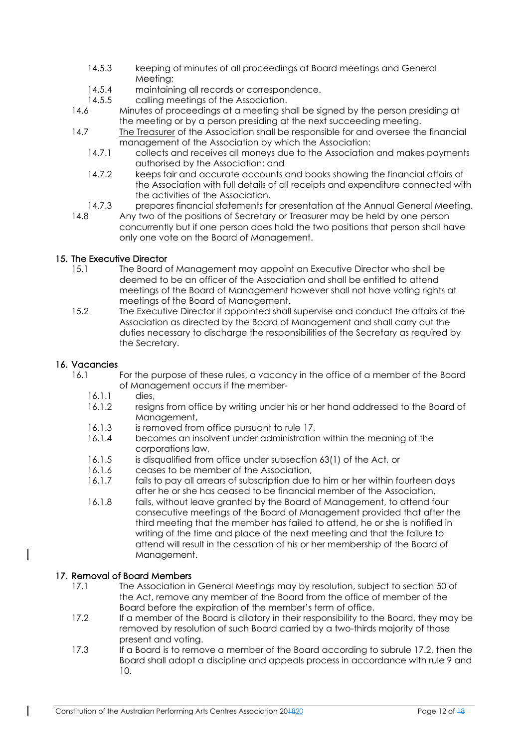- 14.5.3 keeping of minutes of all proceedings at Board meetings and General Meeting;
- 14.5.4 maintaining all records or correspondence.
- 14.5.5 calling meetings of the Association.
- 14.6 Minutes of proceedings at a meeting shall be signed by the person presiding at the meeting or by a person presiding at the next succeeding meeting.
- 14.7 The Treasurer of the Association shall be responsible for and oversee the financial management of the Association by which the Association:
	- 14.7.1 collects and receives all moneys due to the Association and makes payments authorised by the Association: and
	- 14.7.2 keeps fair and accurate accounts and books showing the financial affairs of the Association with full details of all receipts and expenditure connected with the activities of the Association.
	- 14.7.3 prepares financial statements for presentation at the Annual General Meeting.
- 14.8 Any two of the positions of Secretary or Treasurer may be held by one person concurrently but if one person does hold the two positions that person shall have only one vote on the Board of Management.

# 15. The Executive Director

- 15.1 The Board of Management may appoint an Executive Director who shall be deemed to be an officer of the Association and shall be entitled to attend meetings of the Board of Management however shall not have voting rights at meetings of the Board of Management.
- 15.2 The Executive Director if appointed shall supervise and conduct the affairs of the Association as directed by the Board of Management and shall carry out the duties necessary to discharge the responsibilities of the Secretary as required by the Secretary.

# 16. Vacancies

- For the purpose of these rules, a vacancy in the office of a member of the Board of Management occurs if the member-
	- 16.1.1 dies,
	- 16.1.2 resigns from office by writing under his or her hand addressed to the Board of Management,
	- 16.1.3 is removed from office pursuant to rule 17,
	- 16.1.4 becomes an insolvent under administration within the meaning of the corporations law,
	- 16.1.5 is disqualified from office under subsection 63(1) of the Act, or
	- 16.1.6 ceases to be member of the Association,
	- 16.1.7 fails to pay all arrears of subscription due to him or her within fourteen days after he or she has ceased to be financial member of the Association,
	- 16.1.8 fails, without leave granted by the Board of Management, to attend four consecutive meetings of the Board of Management provided that after the third meeting that the member has failed to attend, he or she is notified in writing of the time and place of the next meeting and that the failure to attend will result in the cessation of his or her membership of the Board of Management.

## 17. Removal of Board Members

- 17.1 The Association in General Meetings may by resolution, subject to section 50 of the Act, remove any member of the Board from the office of member of the Board before the expiration of the member's term of office.
- 17.2 If a member of the Board is dilatory in their responsibility to the Board, they may be removed by resolution of such Board carried by a two-thirds majority of those present and voting.
- 17.3 If a Board is to remove a member of the Board according to subrule 17.2, then the Board shall adopt a discipline and appeals process in accordance with rule 9 and 10.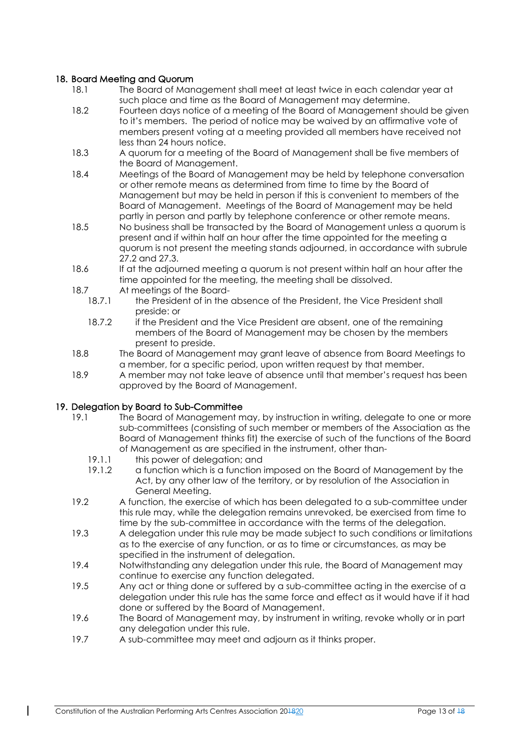## 18. Board Meeting and Quorum

- 18.1 The Board of Management shall meet at least twice in each calendar year at such place and time as the Board of Management may determine.
- 18.2 Fourteen days notice of a meeting of the Board of Management should be given to it's members. The period of notice may be waived by an affirmative vote of members present voting at a meeting provided all members have received not less than 24 hours notice.
- 18.3 A quorum for a meeting of the Board of Management shall be five members of the Board of Management.
- 18.4 Meetings of the Board of Management may be held by telephone conversation or other remote means as determined from time to time by the Board of Management but may be held in person if this is convenient to members of the Board of Management. Meetings of the Board of Management may be held partly in person and partly by telephone conference or other remote means.
- 18.5 No business shall be transacted by the Board of Management unless a quorum is present and if within half an hour after the time appointed for the meeting a quorum is not present the meeting stands adjourned, in accordance with subrule 27.2 and 27.3.
- 18.6 If at the adjourned meeting a quorum is not present within half an hour after the time appointed for the meeting, the meeting shall be dissolved.
- 18.7 At meetings of the Board-
	- 18.7.1 the President of in the absence of the President, the Vice President shall preside: or
	- 18.7.2 if the President and the Vice President are absent, one of the remaining members of the Board of Management may be chosen by the members present to preside.
- 18.8 The Board of Management may grant leave of absence from Board Meetings to a member, for a specific period, upon written request by that member.
- 18.9 A member may not take leave of absence until that member's request has been approved by the Board of Management.

### 19. Delegation by Board to Sub-Committee

- 19.1 The Board of Management may, by instruction in writing, delegate to one or more sub-committees (consisting of such member or members of the Association as the Board of Management thinks fit) the exercise of such of the functions of the Board of Management as are specified in the instrument, other than-
	- 19.1.1 this power of delegation; and
	- 19.1.2 a function which is a function imposed on the Board of Management by the Act, by any other law of the territory, or by resolution of the Association in General Meeting.
- 19.2 A function, the exercise of which has been delegated to a sub-committee under this rule may, while the delegation remains unrevoked, be exercised from time to time by the sub-committee in accordance with the terms of the delegation.
- 19.3 A delegation under this rule may be made subject to such conditions or limitations as to the exercise of any function, or as to time or circumstances, as may be specified in the instrument of delegation.
- 19.4 Notwithstanding any delegation under this rule, the Board of Management may continue to exercise any function delegated.
- 19.5 Any act or thing done or suffered by a sub-committee acting in the exercise of a delegation under this rule has the same force and effect as it would have if it had done or suffered by the Board of Management.
- 19.6 The Board of Management may, by instrument in writing, revoke wholly or in part any delegation under this rule.
- 19.7 A sub-committee may meet and adjourn as it thinks proper.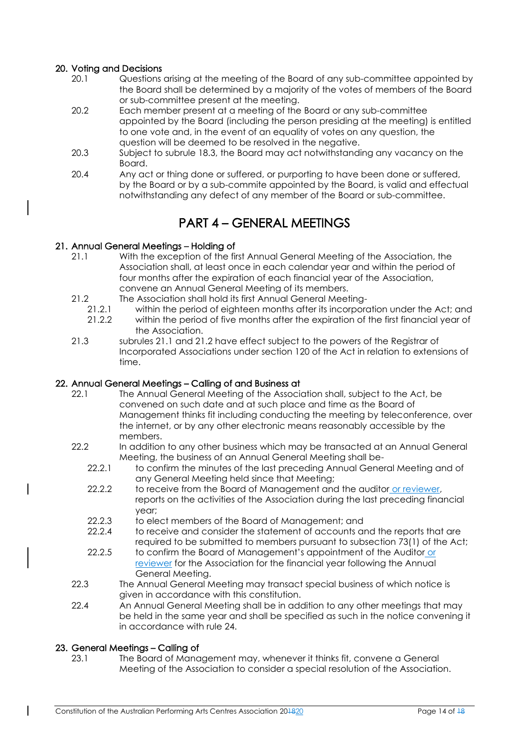## 20. Voting and Decisions

- 20.1 Questions arising at the meeting of the Board of any sub-committee appointed by the Board shall be determined by a majority of the votes of members of the Board or sub-committee present at the meeting.
- 20.2 Each member present at a meeting of the Board or any sub-committee appointed by the Board (including the person presiding at the meeting) is entitled to one vote and, in the event of an equality of votes on any question, the question will be deemed to be resolved in the negative.
- 20.3 Subject to subrule 18.3, the Board may act notwithstanding any vacancy on the Board.
- 20.4 Any act or thing done or suffered, or purporting to have been done or suffered, by the Board or by a sub-commite appointed by the Board, is valid and effectual notwithstanding any defect of any member of the Board or sub-committee.

# PART 4 – GENERAL MEETINGS

## 21. Annual General Meetings – Holding of

- 21.1 With the exception of the first Annual General Meeting of the Association, the Association shall, at least once in each calendar year and within the period of four months after the expiration of each financial year of the Association, convene an Annual General Meeting of its members.
- 21.2 The Association shall hold its first Annual General Meeting-
	- 21.2.1 within the period of eighteen months after its incorporation under the Act; and
	- 21.2.2 within the period of five months after the expiration of the first financial year of the Association.
- 21.3 subrules 21.1 and 21.2 have effect subject to the powers of the Registrar of Incorporated Associations under section 120 of the Act in relation to extensions of time.

## 22. Annual General Meetings – Calling of and Business at

- 22.1 The Annual General Meeting of the Association shall, subject to the Act, be convened on such date and at such place and time as the Board of Management thinks fit including conducting the meeting by teleconference, over the internet, or by any other electronic means reasonably accessible by the members.
- 22.2 In addition to any other business which may be transacted at an Annual General Meeting, the business of an Annual General Meeting shall be-
	- 22.2.1 to confirm the minutes of the last preceding Annual General Meeting and of any General Meeting held since that Meeting;
	- 22.2.2 to receive from the Board of Management and the auditor or reviewer, reports on the activities of the Association during the last preceding financial year;
	- 22.2.3 to elect members of the Board of Management; and
	- 22.2.4 to receive and consider the statement of accounts and the reports that are required to be submitted to members pursuant to subsection 73(1) of the Act;
	- 22.2.5 to confirm the Board of Management's appointment of the Auditor or reviewer for the Association for the financial year following the Annual General Meeting.
- 22.3 The Annual General Meeting may transact special business of which notice is given in accordance with this constitution.
- 22.4 An Annual General Meeting shall be in addition to any other meetings that may be held in the same year and shall be specified as such in the notice convening it in accordance with rule 24.

## 23. General Meetings – Calling of

 $\overline{\phantom{a}}$ 

23.1 The Board of Management may, whenever it thinks fit, convene a General Meeting of the Association to consider a special resolution of the Association.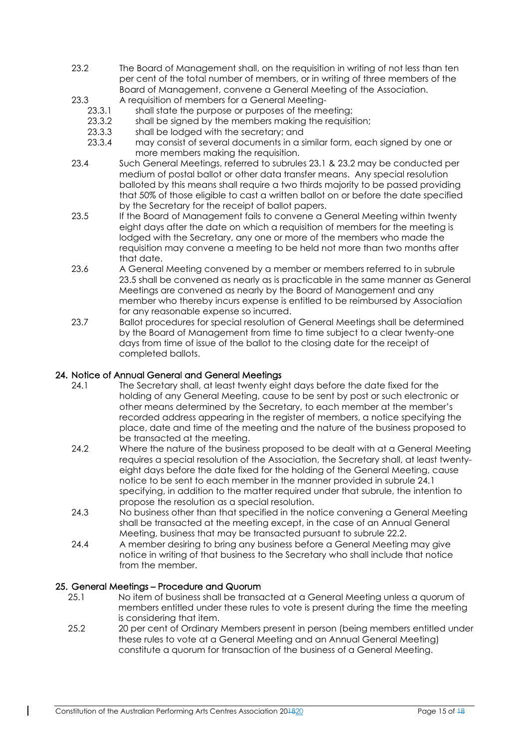- 23.2 The Board of Management shall, on the requisition in writing of not less than ten per cent of the total number of members, or in writing of three members of the Board of Management, convene a General Meeting of the Association.
- 23.3 A requisition of members for a General Meeting-
	- 23.3.1 shall state the purpose or purposes of the meeting;
	- 23.3.2 shall be signed by the members making the requisition;
	- 23.3.3 shall be lodged with the secretary; and
	- 23.3.4 may consist of several documents in a similar form, each signed by one or more members making the requisition.
- 23.4 Such General Meetings, referred to subrules 23.1 & 23.2 may be conducted per medium of postal ballot or other data transfer means. Any special resolution balloted by this means shall require a two thirds majority to be passed providing that 50% of those eligible to cast a written ballot on or before the date specified by the Secretary for the receipt of ballot papers.
- 23.5 If the Board of Management fails to convene a General Meeting within twenty eight days after the date on which a requisition of members for the meeting is lodged with the Secretary, any one or more of the members who made the requisition may convene a meeting to be held not more than two months after that date.
- 23.6 A General Meeting convened by a member or members referred to in subrule 23.5 shall be convened as nearly as is practicable in the same manner as General Meetings are convened as nearly by the Board of Management and any member who thereby incurs expense is entitled to be reimbursed by Association for any reasonable expense so incurred.
- 23.7 Ballot procedures for special resolution of General Meetings shall be determined by the Board of Management from time to time subject to a clear twenty-one days from time of issue of the ballot to the closing date for the receipt of completed ballots.

### 24. Notice of Annual General and General Meetings

- 24.1 The Secretary shall, at least twenty eight days before the date fixed for the holding of any General Meeting, cause to be sent by post or such electronic or other means determined by the Secretary, to each member at the member's recorded address appearing in the register of members, a notice specifying the place, date and time of the meeting and the nature of the business proposed to be transacted at the meeting.
- 24.2 Where the nature of the business proposed to be dealt with at a General Meeting requires a special resolution of the Association, the Secretary shall, at least twentyeight days before the date fixed for the holding of the General Meeting, cause notice to be sent to each member in the manner provided in subrule 24.1 specifying, in addition to the matter required under that subrule, the intention to propose the resolution as a special resolution.
- 24.3 No business other than that specified in the notice convening a General Meeting shall be transacted at the meeting except, in the case of an Annual General Meeting, business that may be transacted pursuant to subrule 22.2.
- 24.4 A member desiring to bring any business before a General Meeting may give notice in writing of that business to the Secretary who shall include that notice from the member.

## 25. General Meetings – Procedure and Quorum

- 25.1 No item of business shall be transacted at a General Meeting unless a quorum of members entitled under these rules to vote is present during the time the meeting is considering that item.
- 25.2 20 per cent of Ordinary Members present in person (being members entitled under these rules to vote at a General Meeting and an Annual General Meeting) constitute a quorum for transaction of the business of a General Meeting.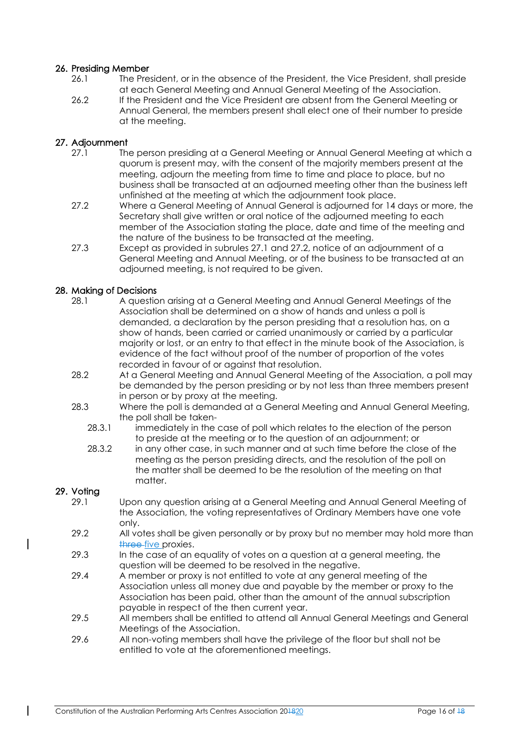### 26. Presiding Member

- 26.1 The President, or in the absence of the President, the Vice President, shall preside at each General Meeting and Annual General Meeting of the Association.
- 26.2 If the President and the Vice President are absent from the General Meeting or Annual General, the members present shall elect one of their number to preside at the meeting.

### 27. Adjournment

- 27.1 The person presiding at a General Meeting or Annual General Meeting at which a quorum is present may, with the consent of the majority members present at the meeting, adjourn the meeting from time to time and place to place, but no business shall be transacted at an adjourned meeting other than the business left unfinished at the meeting at which the adjournment took place.
- 27.2 Where a General Meeting of Annual General is adjourned for 14 days or more, the Secretary shall give written or oral notice of the adjourned meeting to each member of the Association stating the place, date and time of the meeting and the nature of the business to be transacted at the meeting.
- 27.3 Except as provided in subrules 27.1 and 27.2, notice of an adjournment of a General Meeting and Annual Meeting, or of the business to be transacted at an adjourned meeting, is not required to be given.

### 28. Making of Decisions

- 28.1 A question arising at a General Meeting and Annual General Meetings of the Association shall be determined on a show of hands and unless a poll is demanded, a declaration by the person presiding that a resolution has, on a show of hands, been carried or carried unanimously or carried by a particular majority or lost, or an entry to that effect in the minute book of the Association, is evidence of the fact without proof of the number of proportion of the votes recorded in favour of or against that resolution.
- 28.2 At a General Meeting and Annual General Meeting of the Association, a poll may be demanded by the person presiding or by not less than three members present in person or by proxy at the meeting.
- 28.3 Where the poll is demanded at a General Meeting and Annual General Meeting, the poll shall be taken-
	- 28.3.1 immediately in the case of poll which relates to the election of the person to preside at the meeting or to the question of an adjournment; or
	- 28.3.2 in any other case, in such manner and at such time before the close of the meeting as the person presiding directs, and the resolution of the poll on the matter shall be deemed to be the resolution of the meeting on that matter.

### 29. Voting

- 29.1 Upon any question arising at a General Meeting and Annual General Meeting of the Association, the voting representatives of Ordinary Members have one vote only.
- 29.2 All votes shall be given personally or by proxy but no member may hold more than three five proxies.
- 29.3 In the case of an equality of votes on a question at a general meeting, the question will be deemed to be resolved in the negative.
- 29.4 A member or proxy is not entitled to vote at any general meeting of the Association unless all money due and payable by the member or proxy to the Association has been paid, other than the amount of the annual subscription payable in respect of the then current year.
- 29.5 All members shall be entitled to attend all Annual General Meetings and General Meetings of the Association.
- 29.6 All non-voting members shall have the privilege of the floor but shall not be entitled to vote at the aforementioned meetings.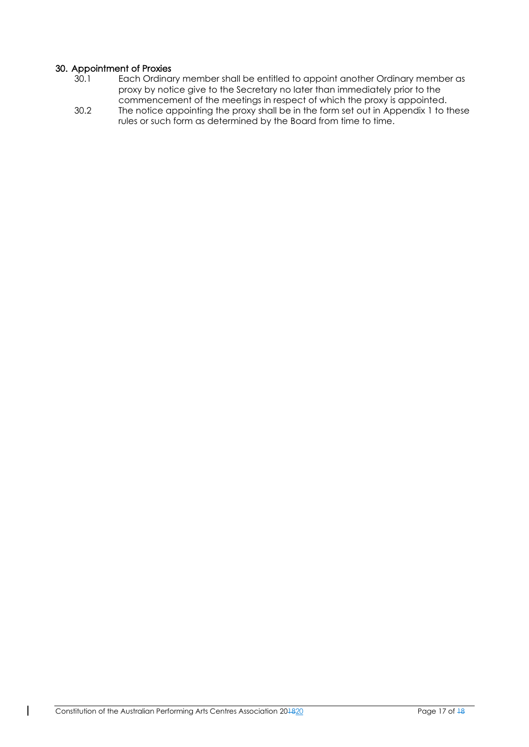## 30. Appointment of Proxies

- 30.1 Each Ordinary member shall be entitled to appoint another Ordinary member as proxy by notice give to the Secretary no later than immediately prior to the commencement of the meetings in respect of which the proxy is appointed.
- 30.2 The notice appointing the proxy shall be in the form set out in Appendix 1 to these rules or such form as determined by the Board from time to time.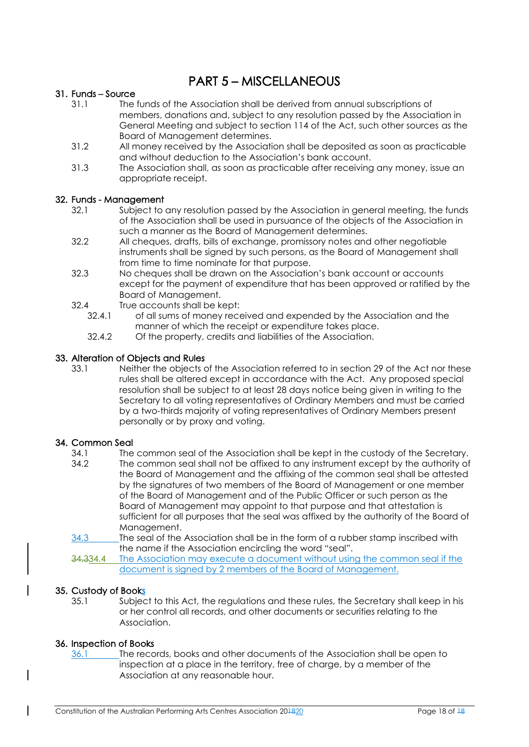# PART 5 – MISCELLANEOUS

### 31. Funds – Source

- 31.1 The funds of the Association shall be derived from annual subscriptions of members, donations and, subject to any resolution passed by the Association in General Meeting and subject to section 114 of the Act, such other sources as the Board of Management determines.
- 31.2 All money received by the Association shall be deposited as soon as practicable and without deduction to the Association's bank account.
- 31.3 The Association shall, as soon as practicable after receiving any money, issue an appropriate receipt.

### 32. Funds - Management

- 32.1 Subject to any resolution passed by the Association in general meeting, the funds of the Association shall be used in pursuance of the objects of the Association in such a manner as the Board of Management determines.
- 32.2 All cheques, drafts, bills of exchange, promissory notes and other negotiable instruments shall be signed by such persons, as the Board of Management shall from time to time nominate for that purpose.
- 32.3 No cheques shall be drawn on the Association's bank account or accounts except for the payment of expenditure that has been approved or ratified by the Board of Management.
- 32.4 True accounts shall be kept:<br>32.4.1 of all sums of money rece
	- of all sums of money received and expended by the Association and the manner of which the receipt or expenditure takes place.
	- 32.4.2 Of the property, credits and liabilities of the Association.

### 33. Alteration of Objects and Rules

33.1 Neither the objects of the Association referred to in section 29 of the Act nor these rules shall be altered except in accordance with the Act. Any proposed special resolution shall be subject to at least 28 days notice being given in writing to the Secretary to all voting representatives of Ordinary Members and must be carried by a two-thirds majority of voting representatives of Ordinary Members present personally or by proxy and voting.

## 34. Common Seal

- 34.1 The common seal of the Association shall be kept in the custody of the Secretary.
- 34.2 The common seal shall not be affixed to any instrument except by the authority of the Board of Management and the affixing of the common seal shall be attested by the signatures of two members of the Board of Management or one member of the Board of Management and of the Public Officer or such person as the Board of Management may appoint to that purpose and that attestation is sufficient for all purposes that the seal was affixed by the authority of the Board of Management.
- 34.3 The seal of the Association shall be in the form of a rubber stamp inscribed with the name if the Association encircling the word "seal".

34.334.4 The Association may execute a document without using the common seal if the document is signed by 2 members of the Board of Management.

### 35. Custody of Books

35.1 Subject to this Act, the regulations and these rules, the Secretary shall keep in his or her control all records, and other documents or securities relating to the Association.

### 36. Inspection of Books

 $\overline{\phantom{a}}$ 

36.1 The records, books and other documents of the Association shall be open to inspection at a place in the territory, free of charge, by a member of the Association at any reasonable hour.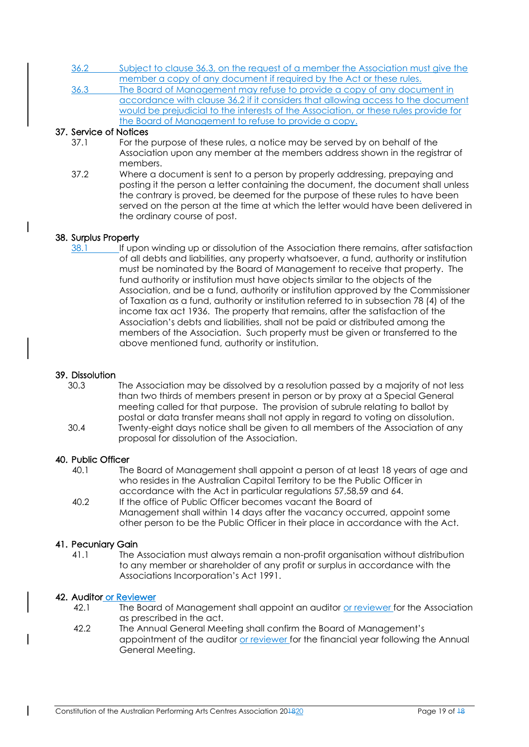- 36.2 Subject to clause 36.3, on the request of a member the Association must give the member a copy of any document if required by the Act or these rules.
- 36.3 The Board of Management may refuse to provide a copy of any document in accordance with clause 36.2 if it considers that allowing access to the document would be prejudicial to the interests of the Association, or these rules provide for the Board of Management to refuse to provide a copy.

### 37. Service of Notices

- 37.1 For the purpose of these rules, a notice may be served by on behalf of the Association upon any member at the members address shown in the registrar of members.
- 37.2 Where a document is sent to a person by properly addressing, prepaying and posting it the person a letter containing the document, the document shall unless the contrary is proved, be deemed for the purpose of these rules to have been served on the person at the time at which the letter would have been delivered in the ordinary course of post.

### 38. Surplus Property

38.1 If upon winding up or dissolution of the Association there remains, after satisfaction of all debts and liabilities, any property whatsoever, a fund, authority or institution must be nominated by the Board of Management to receive that property. The fund authority or institution must have objects similar to the objects of the Association, and be a fund, authority or institution approved by the Commissioner of Taxation as a fund, authority or institution referred to in subsection 78 (4) of the income tax act 1936. The property that remains, after the satisfaction of the Association's debts and liabilities, shall not be paid or distributed among the members of the Association. Such property must be given or transferred to the above mentioned fund, authority or institution.

### 39. Dissolution

30.3 The Association may be dissolved by a resolution passed by a majority of not less than two thirds of members present in person or by proxy at a Special General meeting called for that purpose. The provision of subrule relating to ballot by postal or data transfer means shall not apply in regard to voting on dissolution. 30.4 Twenty-eight days notice shall be given to all members of the Association of any

proposal for dissolution of the Association.

### 40. Public Officer

- 40.1 The Board of Management shall appoint a person of at least 18 years of age and who resides in the Australian Capital Territory to be the Public Officer in accordance with the Act in particular regulations 57,58,59 and 64.
- 40.2 If the office of Public Officer becomes vacant the Board of Management shall within 14 days after the vacancy occurred, appoint some other person to be the Public Officer in their place in accordance with the Act.

### 41. Pecuniary Gain

41.1 The Association must always remain a non-profit organisation without distribution to any member or shareholder of any profit or surplus in accordance with the Associations Incorporation's Act 1991.

### 42. Auditor or Reviewer

- 42.1 The Board of Management shall appoint an auditor or reviewer for the Association as prescribed in the act.
- 42.2 The Annual General Meeting shall confirm the Board of Management's appointment of the auditor or reviewer for the financial year following the Annual General Meeting.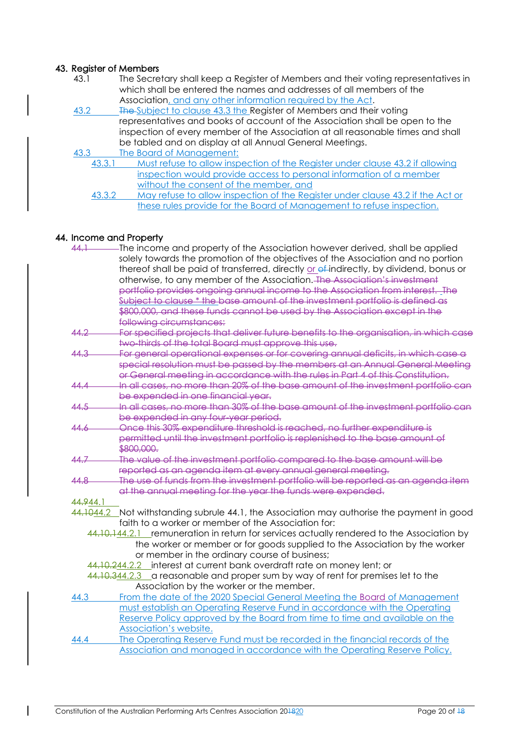### 43. Register of Members

- 43.1 The Secretary shall keep a Register of Members and their voting representatives in which shall be entered the names and addresses of all members of the Association, and any other information required by the Act.
- 43.2 The Subject to clause 43.3 the Register of Members and their voting representatives and books of account of the Association shall be open to the inspection of every member of the Association at all reasonable times and shall be tabled and on display at all Annual General Meetings.
- 43.3 The Board of Management:<br>43.3.1 Must refuse to allow insp
	- Must refuse to allow inspection of the Register under clause 43.2 if allowing inspection would provide access to personal information of a member without the consent of the member, and
		- 43.3.2 May refuse to allow inspection of the Register under clause 43.2 if the Act or these rules provide for the Board of Management to refuse inspection.

#### 44. Income and Property

| 44.1      | The income and property of the Association however derived, shall be applied              |
|-----------|-------------------------------------------------------------------------------------------|
|           | solely towards the promotion of the objectives of the Association and no portion          |
|           | thereof shall be paid of transferred, directly or ef-indirectly, by dividend, bonus or    |
|           | otherwise, to any member of the Association. The Association's investment                 |
|           | portfolio provides ongoing annual income to the Association from interest. The            |
|           | Subject to clause * the base amount of the investment portfolio is defined as             |
|           | \$800,000, and these funds cannot be used by the Association except in the                |
|           | following circumstances:                                                                  |
| 44.2      | For specified projects that deliver future benefits to the organisation, in which case    |
|           | two thirds of the total Board must approve this use.                                      |
| 44.3      | For general operational expenses or for covering annual deficits, in which case a         |
|           | special resolution must be passed by the members at an Annual General Meeting             |
|           | or General meeting in accordance with the rules in Part 4 of this Constitution.           |
| 44.4      | In all cases, no more than 20% of the base amount of the investment portfolio can         |
|           | be expended in one financial year.                                                        |
| 44.5      | In all cases, no more than 30% of the base amount of the investment portfolio can         |
|           | be expended in any four-year period.                                                      |
| 44.6      | Once this 30% expenditure threshold is reached, no further expenditure is                 |
|           | permitted until the investment portfolio is replenished to the base amount of             |
|           | \$800,000.                                                                                |
| 44.7      | The value of the investment portfolio compared to the base amount will be                 |
|           | reported as an agenda item at every annual general meeting.                               |
| 44.8      | The use of funds from the investment portfolio will be reported as an agenda item         |
|           | at the annual meeting for the year the funds were expended.                               |
| 44.944.1  |                                                                                           |
| 44.1044.2 | Not withstanding subrule 44.1, the Association may authorise the payment in good          |
|           | faith to a worker or member of the Association for:                                       |
|           | 44.10.144.2.1 remuneration in return for services actually rendered to the Association by |
|           | the worker or member or for goods supplied to the Association by the worker               |
|           | or member in the ordinary course of business;                                             |
|           | 44.10.244.2.2 interest at current bank overdraft rate on money lent; or                   |
|           | 44.10.344.2.3 a reasonable and proper sum by way of rent for premises let to the          |
|           | Association by the worker or the member.                                                  |
| 44.3      | From the date of the 2020 Special General Meeting the Board of Management                 |
|           | must establish an Operating Reserve Fund in accordance with the Operating                 |
|           | Reserve Policy approved by the Board from time to time and available on the               |
|           | Association's website.                                                                    |
| 44.4      | The Operating Reserve Fund must be recorded in the financial records of the               |
|           | Association and managed in accordance with the Operating Reserve Policy.                  |
|           |                                                                                           |